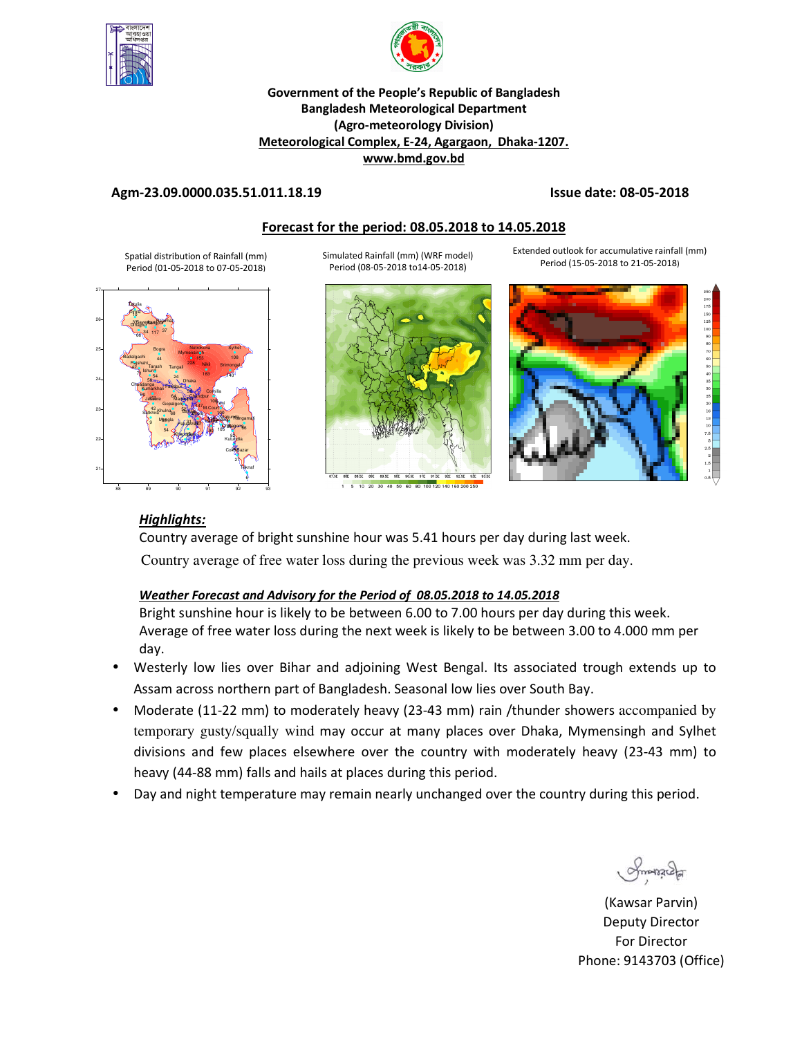



## **Government of the People's Republic of Bangladesh Bangladesh Meteorological Department (Agro-meteorology Division) Meteorological Complex, E-24, Agargaon, Dhaka-1207. www.bmd.gov.bd**

## **Agm-23.09.0000.035.51.011.18.19 Issue date: 08-05-2018**

## **Forecast for the period: 08.05.2018 to 14.05.2018**

Spatial distribution of Rainfall (mm) Period (01-05-2018 to 07-05-2018)



Simulated Rainfall (mm) (WRF model) Period (08-05-2018 to14-05-2018)



10 20 30 40 50 60 80 100 120 140 160 200 25

Extended outlook for accumulative rainfall (mm) Period (15-05-2018 to 21-05-2018)



# *Highlights:*

Country average of bright sunshine hour was 5.41 hours per day during last week. Country average of free water loss during the previous week was 3.32 mm per day.

## *Weather Forecast and Advisory for the Period of 08.05.2018 to 14.05.2018*

Bright sunshine hour is likely to be between 6.00 to 7.00 hours per day during this week. Average of free water loss during the next week is likely to be between 3.00 to 4.000 mm per day.

- Westerly low lies over Bihar and adjoining West Bengal. Its associated trough extends up to Assam across northern part of Bangladesh. Seasonal low lies over South Bay.
- Moderate (11-22 mm) to moderately heavy (23-43 mm) rain /thunder showers accompanied by temporary gusty/squally wind may occur at many places over Dhaka, Mymensingh and Sylhet divisions and few places elsewhere over the country with moderately heavy (23-43 mm) to heavy (44-88 mm) falls and hails at places during this period.
- Day and night temperature may remain nearly unchanged over the country during this period.

 $\alpha$ 

(Kawsar Parvin) Deputy Director For Director Phone: 9143703 (Office)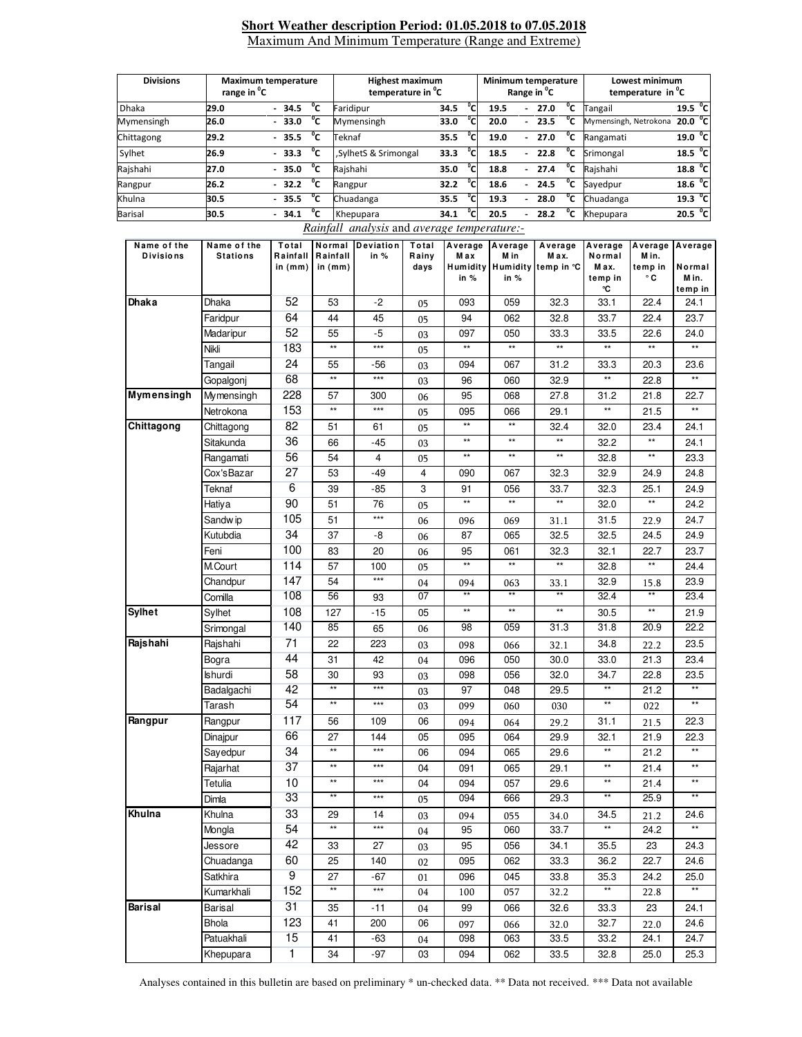#### **Short Weather description Period: 01.05.2018 to 07.05.2018** Maximum And Minimum Temperature (Range and Extreme)

| <b>Divisions</b> | range in <sup>o</sup> C | <b>Maximum temperature</b> | <b>Highest maximum</b><br>temperature in <sup>o</sup> C |      |             | Minimum temperature<br>Range in <sup>"</sup> C |                          |      |              | Lowest minimum<br>temperature in <sup>o</sup> C |                     |  |
|------------------|-------------------------|----------------------------|---------------------------------------------------------|------|-------------|------------------------------------------------|--------------------------|------|--------------|-------------------------------------------------|---------------------|--|
| <b>Dhaka</b>     | 29.0                    | °c<br>$-34.5$              | Faridipur                                               | 34.5 | $^{\circ}c$ | 19.5                                           | $\overline{\phantom{0}}$ | 27.0 | °c           | Tangail                                         | 19.5 °C             |  |
| Mymensingh       | 26.0                    | °c<br>$-33.0$              | Mymensingh                                              | 33.0 | °c          | 20.0                                           |                          | 23.5 | °c           | Mymensingh, Netrokona                           | 20.0 °C             |  |
| Chittagong       | 29.2                    | °c<br>$-35.5$              | Teknaf                                                  | 35.5 | °cı         | 19.0                                           | $\overline{\phantom{0}}$ | 27.0 | °c           | Rangamati                                       | 19.0 °C             |  |
| Sylhet           | 26.9                    | °c<br>$-33.3$              | SylhetS & Srimongal                                     | 33.3 | °c          | 18.5                                           | ٠                        | 22.8 | °c           | Srimongal                                       | 18.5 <sup>o</sup> C |  |
| Rajshahi         | 27.0                    | °c<br>$-35.0$              | Raishahi                                                | 35.0 | °c          | 18.8                                           | ٠                        | 27.4 | °c           | Raishahi                                        | 18.8 <sup>o</sup> C |  |
| Rangpur          | 26.2                    | °c<br>$-32.2$              | Rangpur                                                 | 32.2 | °c          | 18.6                                           | $\overline{\phantom{0}}$ | 24.5 | °c           | Sayedpur                                        | 18.6 °C             |  |
| Khulna           | 30.5                    | °c<br>$-35.5$              | Chuadanga                                               | 35.5 | °cl         | 19.3                                           | $\overline{\phantom{0}}$ | 28.0 | °c           | Chuadanga                                       | 19.3 °C             |  |
| <b>Barisal</b>   | 30.5                    | °c<br>$-34.1$              | Khepupara                                               | 34.1 | $^{\circ}$  | 20.5                                           | ٠                        | 28.2 | $^{\circ}$ c | Khepupara                                       | 20.5 °C             |  |

#### *Rainfall analysis* and *average temperature:-*

| Name of the       | Name of the     | Total                 | Normal                | Deviation | Total         | Average                | Average         | Average                      | Average         | Average          | Average         |
|-------------------|-----------------|-----------------------|-----------------------|-----------|---------------|------------------------|-----------------|------------------------------|-----------------|------------------|-----------------|
| <b>Divisions</b>  | <b>Stations</b> | Rainfall<br>in $(mm)$ | Rainfall<br>in $(mm)$ | in %      | Rainy<br>days | Max<br><b>Humidity</b> | M in            | M ax.<br>Humidity temp in °C | Normal<br>M ax. | M in.<br>temp in | Normal          |
|                   |                 |                       |                       |           |               | in %                   | in %            |                              | temp in<br>℃    | ۰c               | Min.            |
| <b>Dhaka</b>      | Dhaka           | 52                    | 53                    | $-2$      | 05            | 093                    | 059             | 32.3                         | 33.1            | 22.4             | temp in<br>24.1 |
|                   | Faridpur        | 64                    | 44                    | 45        | 05            | 94                     | 062             | 32.8                         | 33.7            | 22.4             | 23.7            |
|                   | Madaripur       | 52                    | 55                    | $-5$      | 03            | 097                    | 050             | 33.3                         | 33.5            | 22.6             | 24.0            |
|                   | Nikli           | 183                   | $^{\star\star}$       | $***$     | 05            | $\star\star$           | $\star\star$    | $\star\star$                 | $\star\star$    | $\star\star$     | $\star\star$    |
|                   | Tangail         | 24                    | 55                    | -56       | 03            | 094                    | 067             | 31.2                         | 33.3            | 20.3             | 23.6            |
|                   | Gopalgonj       | 68                    | $\star\star$          | $***$     | 03            | 96                     | 060             | 32.9                         | $\star\star$    | 22.8             | $\star\star$    |
| <b>Mymensingh</b> | Mymensingh      | 228                   | 57                    | 300       | 06            | 95                     | 068             | 27.8                         | 31.2            | 21.8             | 22.7            |
|                   | Netrokona       | 153                   | $\star\star$          | $***$     | 05            | 095                    | 066             | 29.1                         | $\star\star$    | 21.5             | $\star\star$    |
| Chittagong        | Chittagong      | 82                    | 51                    | 61        | 05            | $\star\star$           | $^{\star\star}$ | 32.4                         | 32.0            | 23.4             | 24.1            |
|                   | Sitakunda       | 36                    | 66                    | -45       | 03            | $\star\star$           | $^{\star\star}$ | $^{\star\star}$              | 32.2            | $^{\star\star}$  | 24.1            |
|                   | Rangamati       | 56                    | 54                    | 4         | 05            | $\star\star$           | $^{\star\star}$ | $^{\star\star}$              | 32.8            | $\star\star$     | 23.3            |
|                   | Cox'sBazar      | 27                    | 53                    | $-49$     | 4             | 090                    | 067             | 32.3                         | 32.9            | 24.9             | 24.8            |
|                   | Teknaf          | $6\overline{}$        | 39                    | $-85$     | 3             | 91                     | 056             | 33.7                         | 32.3            | 25.1             | 24.9            |
|                   | Hatiya          | 90                    | 51                    | 76        | 05            | $\star\star$           | $^{\star\star}$ | $^{\star\star}$              | 32.0            | $\star\star$     | 24.2            |
|                   | Sandw ip        | 105                   | 51                    | $***$     | 06            | 096                    | 069             | 31.1                         | 31.5            | 22.9             | 24.7            |
|                   | Kutubdia        | 34                    | 37                    | -8        | 06            | 87                     | 065             | 32.5                         | 32.5            | 24.5             | 24.9            |
|                   | Feni            | 100                   | 83                    | 20        | 06            | 95                     | 061             | 32.3                         | 32.1            | 22.7             | 23.7            |
|                   | M.Court         | 114                   | 57                    | 100       | 05            | $\star\star$           | $\star\star$    | $\star\star$                 | 32.8            | $***$            | 24.4            |
|                   | Chandpur        | 147                   | 54                    | $***$     | 04            | 094                    | 063             | 33.1                         | 32.9            | 15.8             | 23.9            |
|                   | Comilla         | 108                   | 56                    | 93        | 07            | **                     | $\star\star$    | **                           | 32.4            | $\star\star$     | 23.4            |
| Sylhet            | Sylhet          | 108                   | 127                   | $-15$     | 05            | $\star\star$           | $^{\star\star}$ | $\star\star$                 | 30.5            | $\star\star$     | 21.9            |
|                   | Srimongal       | 140                   | 85                    | 65        | 06            | 98                     | 059             | 31.3                         | 31.8            | 20.9             | 22.2            |
| Rajshahi          | Rajshahi        | 71                    | 22                    | 223       | 03            | 098                    | 066             | 32.1                         | 34.8            | 22.2             | 23.5            |
|                   | Bogra           | 44                    | 31                    | 42        | 04            | 096                    | 050             | 30.0                         | 33.0            | 21.3             | 23.4            |
|                   | Ishurdi         | 58                    | 30                    | 93        | 03            | 098                    | 056             | 32.0                         | 34.7            | 22.8             | 23.5            |
|                   | Badalgachi      | 42                    | $\star\star$          | $***$     | 03            | 97                     | 048             | 29.5                         | $^{\star\star}$ | 21.2             | $\star\star$    |
|                   | Tarash          | 54                    | $**$                  | $***$     | 03            | 099                    | 060             | 030                          | $**$            | 022              | $**$            |
| Rangpur           | Rangpur         | 117                   | 56                    | 109       | 06            | 094                    | 064             | 29.2                         | 31.1            | 21.5             | 22.3            |
|                   | Dinajpur        | 66                    | 27                    | 144       | 05            | 095                    | 064             | 29.9                         | 32.1            | 21.9             | 22.3            |
|                   | Sayedpur        | 34                    | $^{\star\star}$       | $***$     | 06            | 094                    | 065             | 29.6                         | $^{\star\star}$ | 21.2             | $\star\star$    |
|                   | Rajarhat        | 37                    | $^{\star\star}$       | $***$     | 04            | 091                    | 065             | 29.1                         | $^{\star\star}$ | 21.4             | $\star\star$    |
|                   | Tetulia         | 10                    | $^{\star\star}$       | $***$     | 04            | 094                    | 057             | 29.6                         | $^{\star\star}$ | 21.4             | $\star\star$    |
|                   | Dimla           | 33                    | $^{\star\star}$       | $***$     | 05            | 094                    | 666             | 29.3                         | $\star\star$    | 25.9             | **              |
| Khulna            | Khulna          | 33                    | 29                    | 14        | 03            | 094                    | 055             | 34.0                         | 34.5            | 21.2             | 24.6            |
|                   | Mongla          | 54                    | $^{\star\star}$       | $***$     | 04            | 95                     | 060             | 33.7                         | $^{\star\star}$ | 24.2             | $^{\star\star}$ |
|                   | Jessore         | 42                    | 33                    | 27        | 03            | 95                     | 056             | 34.1                         | 35.5            | 23               | 24.3            |
|                   | Chuadanga       | 60                    | 25                    | 140       | 02            | 095                    | 062             | 33.3                         | 36.2            | 22.7             | 24.6            |
|                   | Satkhira        | $\overline{9}$        | 27                    | $-67$     | 01            | 096                    | 045             | 33.8                         | 35.3            | 24.2             | 25.0            |
|                   | Kumarkhali      | 152                   | $\overline{**}$       | $***$     | 04            | 100                    | 057             | 32.2                         | $\star\star$    | 22.8             | $\star\star$    |
| <b>Barisal</b>    | Barisal         | 31                    | 35                    | $-11$     | 04            | 99                     | 066             | 32.6                         | 33.3            | 23               | 24.1            |
|                   | <b>Bhola</b>    | 123                   | 41                    | 200       | 06            | 097                    | 066             | 32.0                         | 32.7            | 22.0             | 24.6            |
|                   | Patuakhali      | 15                    | 41                    | -63       | 04            | 098                    | 063             | 33.5                         | 33.2            | 24.1             | 24.7            |
|                   | Khepupara       | 1                     | 34                    | $-97$     | 03            | 094                    | 062             | 33.5                         | 32.8            | 25.0             | 25.3            |

Analyses contained in this bulletin are based on preliminary \* un-checked data. \*\* Data not received. \*\*\* Data not available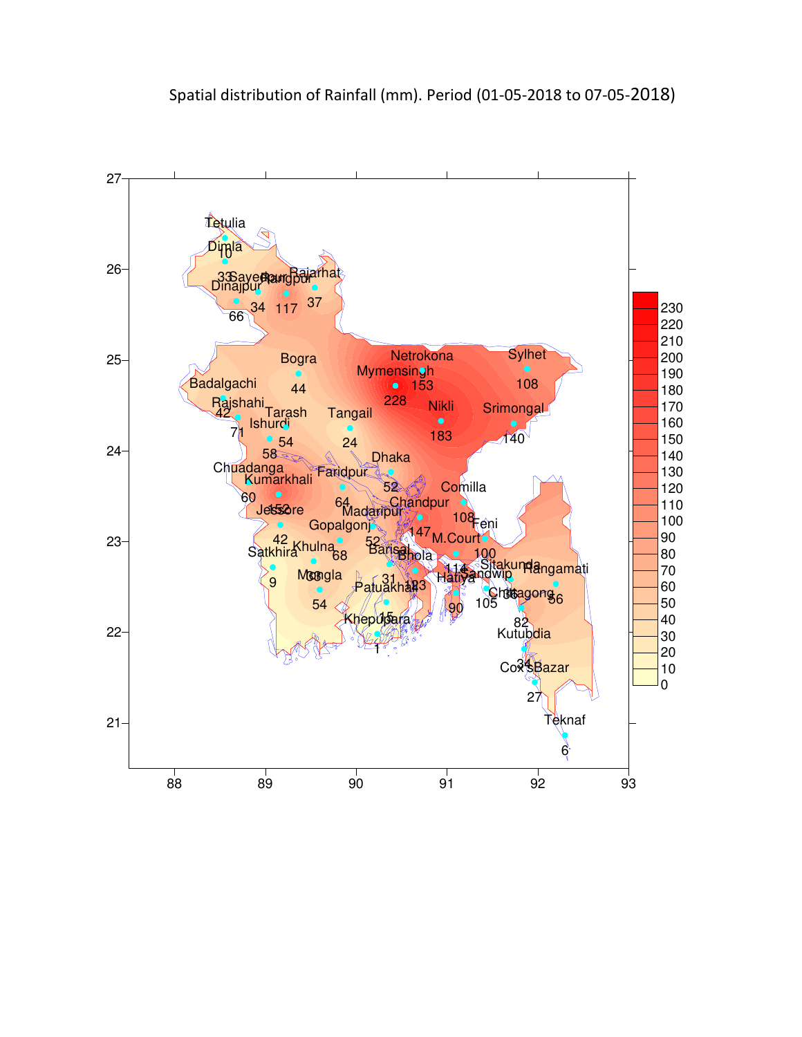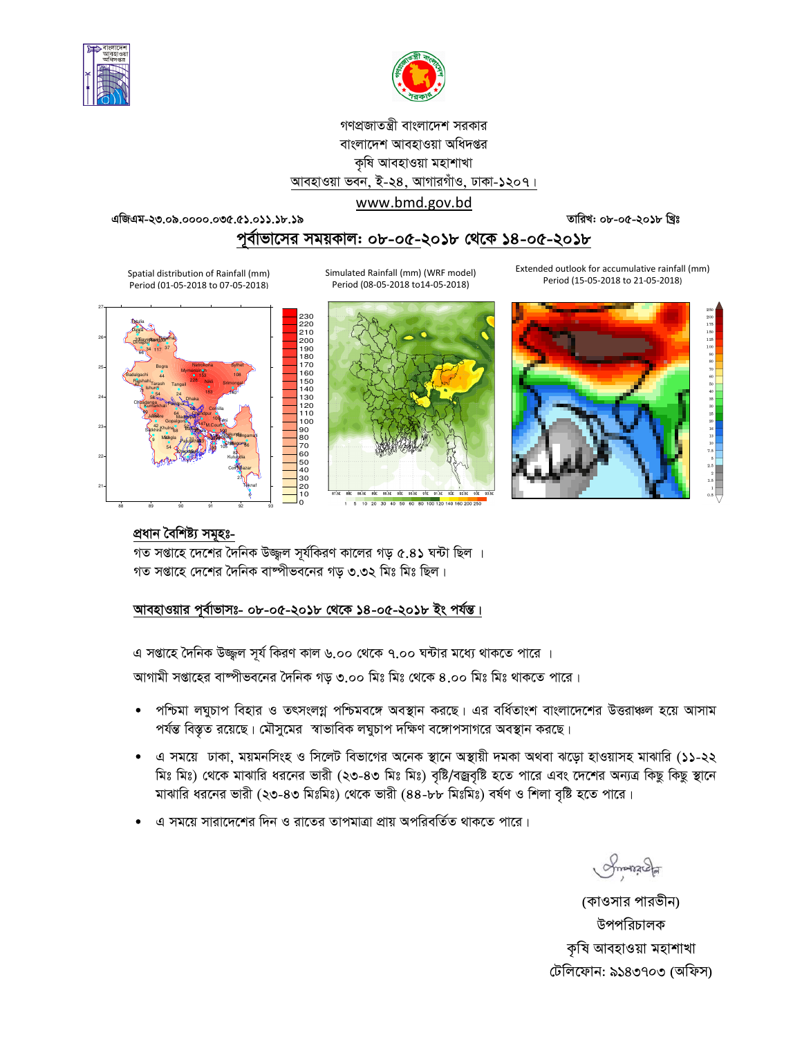



# গণপ্রজাতন্ত্রী বাংলাদেশ সরকার বাংলাদেশ আবহাওয়া অধিদপ্তর কৃষি আবহাওয়া মহাশাখা আবহাওয়া ভবন, ই-২৪, আগারগাঁও, ঢাকা-১২০৭।

## www.bmd.gov.bd

তারিখ: ০৮-০৫-২০১৮ খ্রিঃ

এজিএম-২৩.০৯.০০০০.০৩৫.৫১.০১১.১৮.১৯

Spatial distribution of Rainfall (mm)

Period (01-05-2018 to 07-05-2018)

# পর্বাভাসের সময়কাল: ০৮-০৫-২০১৮ থেকে ১৪-০৫-২০১৮

Extended outlook for accumulative rainfall (mm) Period (15-05-2018 to 21-05-2018)

Simulated Rainfall (mm) (WRF model) Period (08-05-2018 to 14-05-2018)



BRASE BOE BOLSE BIE BILSE BAE BALLES BAE BALL

1 5 10 20 30 40 50 60 80 100 120 140 160 200 250



 $\begin{array}{c} 2\,50 \\ 2\,00 \\ 1\,75 \\ 1\,50 \\ 1\,25 \\ 1\,00 \\ 90 \\ 80 \\ 70 \end{array}$ 

# প্ৰধান বৈশিষ্ট্য সমূহঃ-

গত সপ্তাহে দেশের দৈনিক উজ্জ্বল সূর্যকিরণ কালের গড় ৫.৪১ ঘন্টা ছিল । গত সপ্তাহে দেশের দৈনিক বাষ্পীভবনের গড় ৩.৩২ মিঃ মিঃ ছিল।

## আবহাওয়ার পূর্বাভাসঃ- ০৮-০৫-২০১৮ থেকে ১৪-০৫-২০১৮ ইং পর্যন্ত।

এ সপ্তাহে দৈনিক উজ্জুল সূর্য কিরণ কাল ৬.০০ থেকে ৭.০০ ঘন্টার মধ্যে থাকতে পারে ।

আগামী সপ্তাহের বাষ্পীভবনের দৈনিক গড় ৩.০০ মিঃ মিঃ থেকে ৪.০০ মিঃ মিঃ থাকতে পারে।

- পশ্চিমা লঘুচাপ বিহার ও তৎসংলগ্ন পশ্চিমবঙ্গে অবস্থান করছে। এর বর্ধিতাংশ বাংলাদেশের উত্তরাঞ্চল হয়ে আসাম  $\bullet$ পর্যন্ত বিস্তৃত রয়েছে। মৌসুমের স্বাভাবিক লঘুচাপ দক্ষিণ বঙ্গোপসাগরে অবস্থান করছে।
- এ সময়ে ঢাকা, ময়মনসিংহ ও সিলেট বিভাগের অনেক স্থানে অস্থায়ী দমকা অথবা ঝড়ো হাওয়াসহ মাঝারি (১১-২২ মিঃ মিঃ) থেকে মাঝারি ধরনের ভারী (২৩-৪৩ মিঃ মিঃ) বৃষ্টি/বজ্রবৃষ্টি হতে পারে এবং দেশের অন্যত্র কিছু কিছু স্থানে মাঝারি ধরনের ভারী (২৩-৪৩ মিঃমিঃ) থেকে ভারী (৪৪-৮৮ মিঃমিঃ) বর্ষণ ও শিলা বৃষ্টি হতে পারে।
- এ সময়ে সারাদেশের দিন ও রাতের তাপমাত্রা প্রায় অপরিবর্তিত থাকতে পারে।

Smanach

(কাওসার পারভীন) উপপরিচালক কৃষি আবহাওয়া মহাশাখা টেলিফোন: ৯১৪৩৭০৩ (অফিস)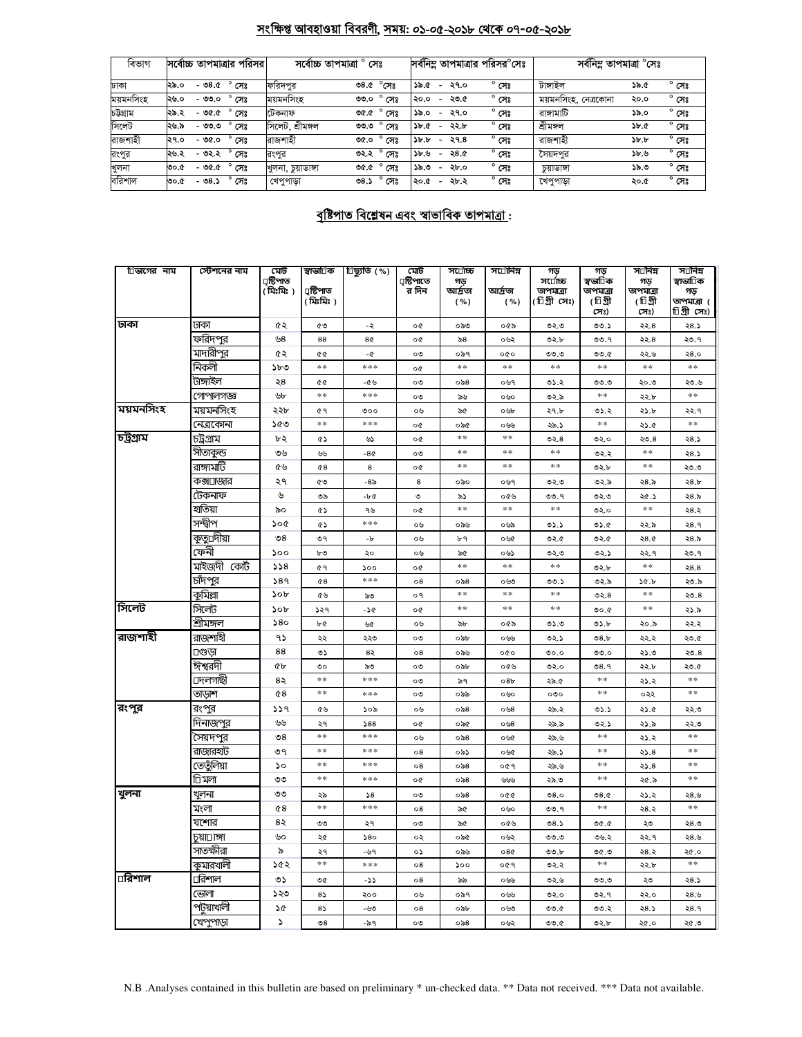# <u>সংক্ষিপ্ত আবহাওয়া বিবরণী, সময়: ০১-০৫-২০১৮ থেকে ০৭-০৫-২০১৮</u>

| বিভাগ     | সর্বোচ্চ তাপমাত্রার পরিসর।        | সৰ্বোচ্চ তাপমাত্ৰা | $^{\circ}$ সেঃ         | সর্বনিম্ন তাপমাত্রার পরিসর <sup>০</sup> সেঃ            |                | সর্বনিম তাপমাত্রা °সেঃ |                                |  |
|-----------|-----------------------------------|--------------------|------------------------|--------------------------------------------------------|----------------|------------------------|--------------------------------|--|
| ঢাকা      | $^{\circ}$ সেঃ<br>২৯.০<br>$-98.0$ | ফরিদপুর            | $^{\circ}$ সেঃ<br>৩৪.৫ | ১৯.৫<br>২৭.০<br>$\overline{\phantom{a}}$               | $^{\circ}$ সেঃ | টাঙ্গাইল               | $^{\circ}$ সেঃ<br>১৯.৫         |  |
| ময়মনসিংহ | $^{\circ}$ সেঃ<br>২৬.০<br>- ৩৩.০  | ময়মনসিংহ          | ৩৩.০<br>সেঃ            | ২৩.৫<br>২০.০<br>$\overline{\phantom{a}}$               | $^{\circ}$ সেঃ | ময়মনসিংহ, নেত্রকোনা   | $^{\circ}$ সেঃ<br>২০.০         |  |
| চউগ্ৰাম   | $^{\circ}$ সেঃ<br>২৯.২<br>$-96.0$ | টেকনাফ             | $^{\circ}$ সেঃ<br>9.90 | ২৭.০<br>১৯.০<br>$\overline{\phantom{0}}$               | $^{\circ}$ সেঃ | রাঙ্গামাটি             | $^{\circ}$ সেঃ<br>১৯.০         |  |
| সিলেট     | $^{\circ}$ সেঃ<br>২৬.৯<br>- ৩৩.৩  | সিলেট, শ্ৰীমঙ্গল   | ৩৩.৩<br>সেঃ            | ২২.৮<br>3b.6<br>$\overline{\phantom{0}}$               | $^{\circ}$ সেঃ | শ্ৰীমঙ্গল              | $^{\circ}$ সেঃ<br>3b.6         |  |
| রাজশাহী   | $^{\circ}$ সেঃ<br>- ৩৫.০<br>২৭.০  | রাজশাহী            | $^{\circ}$ সেঃ<br>৩৫.০ | $\delta b \cdot b$<br>২৭.৪<br>$\overline{\phantom{a}}$ | $^{\circ}$ সেঃ | রাজশাহী                | $^{\circ}$ সেঃ<br>$\delta b$ . |  |
| রংপুর     | $^{\circ}$ সেঃ<br>২৬.২<br>- ৩২.২  | রংপর               | ৩২.২<br>সেঃ            | ২৪.৫<br>3b.9<br>-                                      | $^{\circ}$ সেঃ | সৈয়দপর                | $^{\circ}$ সেঃ<br>১৮.৬         |  |
| খুলনা     | $^{\circ}$ সেঃ<br>$-96.0$<br>0.6  | খুলনা চয়াডাঙ্গা   | $^{\circ}$ সেঃ<br>৩৫.৫ | ২৮.০<br>১৯.৩<br>$\overline{\phantom{0}}$               | $^{\circ}$ সেঃ | চয়াডাঙ্গা             | $^{\circ}$ সেঃ<br>১৯.৩         |  |
| বরিশাল    | $^{\circ}$ সেঃ<br>- ৩৪.১<br>৩০.৫  | খেপুপাড়া          | $^{\circ}$ সেঃ<br>৩৪.১ | ২৮.২<br>২০.৫<br>$\overline{\phantom{a}}$               | $^{\circ}$ সেঃ | খেপুপাড়া              | $^{\circ}$ সেঃ<br>২০.৫         |  |

# <u> বৃষ্টিপাত বিশ্লেষন এবং স্বাভাবিক তাপমাত্ৰা:</u>

| িভাগের নাম | স্টেশনের নাম      | মেট<br>ঢ়ষ্টিপাত<br>( মিঃমিঃ ) | স্বাভা⊡িক<br>ঢ়ষ্টিপাত<br>( মিঃমিঃ ) | ্রিষ্কৃতি (%)   | মেট<br>ঢ়ষ্টিপাতে<br>র দিন | স⊔োচ্চ<br>গড়<br>আৰ্দ্ৰতা<br>( %) | সর্⊡ানিম্ন<br>আৰ্দ্ৰতা<br>( %) | গড়<br>স⊔োচ্চ<br>তাপমাত্রা<br>(টিগ্ৰী সেঃ) | গড়<br>স্বভা∏ক<br>তাপমাত্রা<br>(টিগ্রী<br>সেঃ) | স⊔নিম<br>গড়<br>তাপমাত্রা<br>(টিগ্রী<br>সেঃ) | স⊡নিম<br>স্বাভা∏ক<br>গড়<br>তাপমাত্রা (<br>চিগ্ৰীসেঃ) |
|------------|-------------------|--------------------------------|--------------------------------------|-----------------|----------------------------|-----------------------------------|--------------------------------|--------------------------------------------|------------------------------------------------|----------------------------------------------|-------------------------------------------------------|
| ঢাকা       | ঢাকা              | ৫২                             | ৫৩                                   | -২              | o¢                         | ০৯৩                               | ০৫৯                            | ৩২.৩                                       | 00.5                                           | ২২.৪                                         | ২8.১                                                  |
|            | ফরিদ <u>পুর</u>   | ৬৪                             | 88                                   | 8¢              | o¢                         | ৯৪                                | ০৬২                            | ৩২.৮                                       | ৩৩.৭                                           | ২২.৪                                         | ২৩.৭                                                  |
|            | মাদারীপুর         | ৫২                             | œ                                    | -৫              | ০৩                         | ০৯৭                               | 000                            | 0.00                                       | 0.00                                           | ২২.৬                                         | २8.०                                                  |
|            | নিকলী             | ১৮৩                            | $\ast\ast$                           | ***             | o¢                         | $\ast$ $\ast$                     | $\ast\ast$                     | $**$                                       | $\ast$ $\ast$                                  | $\ast$ $\ast$                                | $**$                                                  |
|            | টাঙ্গাইল          | ২৪                             | QG                                   | -৫৬             | ০৩                         | $\circ$ ৯৪                        | ০৬৭                            | ৩১.২                                       | 0.0                                            | ২০.৩                                         | ২৩.৬                                                  |
|            | গোপালগজ্ঞ         | ৬৮                             | $\ast$ $\ast$                        | ***             | ০৩                         | ৯৬                                | ০৬০                            | ৩২.৯                                       | **                                             | ২২.৮                                         | **                                                    |
| ময়মনসিংহ  | ময়মনসিংহ         | ২২৮                            | ৫٩                                   | ৩০০             | ০৬                         | ৯৫                                | ০৬৮                            | ২৭.৮                                       | ৩১.২                                           | ২১.৮                                         | ২২.৭                                                  |
|            | নেত্রকোনা         | ১৫৩                            | $**$                                 | ***             | o¢                         | ০৯৫                               | ০৬৬                            | ২৯.১                                       | $**$                                           | ২১.৫                                         | $**$                                                  |
| চট্টগ্ৰাম  | চট্ৰগ্ৰাম         | ৮২                             | ৫১                                   | ৬১              | o¢                         | $* *$                             | $\pm \pm$                      | ৩২. $8$                                    | ৩২.০                                           | 50.8                                         | ২৪.১                                                  |
|            | সীতাকুন্ড         | ৩৬                             | ৬৬                                   | $-80$           | ০৩                         | $\pm$ $\pm$                       | $\ast$                         | $**$                                       | ৩২.২                                           | $* *$                                        | ২৪.১                                                  |
|            | রাঙ্গামার্টি      | ৫৬                             | 68                                   | 8               | o¢                         | **                                | **                             | $**$                                       | ৩২.৮                                           | **                                           | ২৩.৩                                                  |
|            | কক্স⊔াজার         | ২৭                             | ৫৩                                   | -8৯             | 8                          | ০৯০                               | ০৬৭                            | ৩২.৩                                       | ৩২.৯                                           | ২৪.৯                                         | 28.5                                                  |
|            | টেকনাফ            | ৬                              | ৩৯                                   | $-b$ $Q$        | ৩                          | ৯১                                | ০৫৬                            | ৩৩.৭                                       | ৩২.৩                                           | ২৫.১                                         | ২৪.৯                                                  |
|            | হাতিয়া           | ৯০                             | œ۵                                   | ৭৬              | o¢                         | $\pm$ $\pm$                       | $\pm \pm$                      | $\ast$ $\ast$                              | ৩২.০                                           | $\ast$ $\ast$                                | ২৪.২                                                  |
|            | সন্দ্বীপ          | ১০৫                            | œ۵                                   | ***             | ০৬                         | ০৯৬                               | ০৬৯                            | ৩১.১                                       | 0.6                                            | ২২.৯                                         | २8.१                                                  |
|            | কুতু⊔দীয়া        | $\mathcal{O}8$                 | ৩৭                                   | -р.             | ০৬                         | ৮৭                                | ০৬৫                            | ৩২.৫                                       | ৩২.৫                                           | 28.0                                         | ২৪.৯                                                  |
|            | ফেনী              | ১০০                            | ৮৩                                   | ২০              | ০৬                         | ৯৫                                | ০৬১                            | ৩২.৩                                       | ৩২.১                                           | ২২.৭                                         | ২৩.৭                                                  |
|            | মাইজদী কোর্ট      | 558                            | ৫ ৭                                  | 500             | o¢                         | $**$                              | $**$                           | $\ast$ $\ast$                              | ৩২.৮                                           | $\ast$ $\ast$                                | 28.8                                                  |
|            | চাঁদ <u>পুর</u>   | 589                            | $^{68}$                              | ***             | $\circ 8$                  | ০৯৪                               | ০৬৩                            | ৩৩.১                                       | ৩২.৯                                           | ১৫.৮                                         | ২৩.৯                                                  |
|            | কুমিল্লা          | ১০৮                            | ৫৬                                   | ৯৩              | o٩                         | $* *$                             | $\pm \pm$                      | $* *$                                      | ৩২. $8$                                        | $\ast$ $\ast$                                | 20.8                                                  |
| সিলেট      | সিলেট             | ১০৮                            | ১২৭                                  | -26             | o¢                         | $* *$                             | $**$                           | $* *$                                      | 0.00                                           | $\ast$ $\ast$                                | ২১.৯                                                  |
|            | শ্ৰীম <u>ঙ্গল</u> | 580                            | ৮৫                                   | ৬৫              | ০৬                         | ৯৮                                | ০৫৯                            | ৩১.৩                                       | 0.5b                                           | ২০.৯                                         | ২২.২                                                  |
| রাজশাহী    | রাজশাহী           | ۹১                             | ২২                                   | ২২৩             | ০৩                         | ০৯৮                               | ০৬৬                            | ৩২.১                                       | 08.5                                           | ২২.২                                         | ২৩.৫                                                  |
|            | ⊔গুডা             | 88                             | ৩১                                   | ৪২              | 08                         | ০৯৬                               | 000                            | 0.00                                       | 0.0                                            | ২১.৩                                         | ২৩.৪                                                  |
|            | ঈশ্বরদী           | QЬ                             | ৩০                                   | ৯৩              | ০৩                         | ০৯৮                               | ০৫৬                            | ৩২.০                                       | 08.9                                           | ২২.৮                                         | ২৩.৫                                                  |
|            | ⊔দলগাছী           | ৪২                             | **                                   | ***             | ০৩                         | ৯৭                                | 08 <sub>b</sub>                | ২৯.৫                                       | $**$                                           | ২১.২                                         | **                                                    |
|            | তাড়াশ            | 68                             | **                                   | ***             | ০৩                         | ০৯৯                               | ০৬০                            | $\circ \circ \circ$                        | **                                             | ০২২                                          | $**$                                                  |
| রংপুর      | রংপুর             | 339                            | ৫৬                                   | 30 <sub>o</sub> | ০৬                         | $\circ$ ৯8                        | ০৬৪                            | ২৯.২                                       | 05.5                                           | ২১.৫                                         | ২২.৩                                                  |
|            | দিনাজপুর          | ৬৬                             | ২৭                                   | 588             | o¢                         | ০৯৫                               | ০৬৪                            | ২৯.৯                                       | ৩২.১                                           | ২১.৯                                         | ২২.৩                                                  |
|            | সৈয়দপুর          | $\mathcal{O}8$                 | $\ast$ $\ast$                        | ***             | ০৬                         | $\circ$ ನಿ8                       | ০৬৫                            | ২৯.৬                                       | **                                             | ২১.২                                         | $**$                                                  |
|            | রাজারহাট          | ৩৭                             | $**$                                 | ***             | $\circ 8$                  | ০৯১                               | ০৬৫                            | ২৯.১                                       | $**$                                           | ২১.৪                                         | **                                                    |
|            | তেতুঁলিয়া        | ১০                             | $\ast\ast$                           | ***             | $^{\circ8}$                | ০৯৪                               | ०৫৭                            | ২৯.৬                                       | $\ast$ $\ast$                                  | 25.8                                         | $**$                                                  |
|            | া⊡ মলা            | ৩৩                             | $\ast$ $\ast$                        | ***             | o¢                         | ০৯৪                               | ৬৬৬                            | ২৯.৩                                       | $\ast$ $\ast$                                  | ২৫.৯                                         | $* *$                                                 |
| খুলনা      | খুলনা             | ৩৩                             | ২৯                                   | 58              | ০৩                         | ০৯৪                               | 000                            | 08.0                                       | 08.0                                           | ২১.২                                         | ২৪.৬                                                  |
|            | মংলা              | 68                             | $\ast$ $\ast$                        | $* * *$         | $\circ$ 8                  | ৯৫                                | ০৬০                            | ৩৩.৭                                       | $**$                                           | ২৪.২                                         | $* *$                                                 |
|            | যশোর              | 82                             | ৩৩                                   | ২৭              | ০৩                         | ৯৫                                | ০৫৬                            | ৩ $8.5$                                    | 9.90                                           | ২৩                                           | ২৪.৩                                                  |
|            | চয়া⊡াঙ্গা        | ৬০                             | ২৫                                   | 580             | ০২                         | ০৯৫                               | ০৬২                            | 0.0                                        | ৩৬.২                                           | ২২.৭                                         | ২৪.৬                                                  |
|            | সাতক্ষীরা         | ৯                              | ২৭                                   | -৬৭             | ০১                         | ০৯৬                               | 080                            | 00.b                                       | 0.90                                           | ২৪.২                                         | ২৫.০                                                  |
|            | কুমারখালী         | ১৫২                            | $\ast\ast$                           | ***             | 08                         | 500                               | ०৫৭                            | ৩২.২                                       | $\ast\ast$                                     | ২২.৮                                         | $**$                                                  |
| ারিশাল     | ⊔রিশাল            | ৩১                             | ৩৫                                   | دد-             | $\circ 8$                  | ৯৯                                | ০৬৬                            | ৩২.৬                                       | ৩৩.৩                                           | ২৩                                           | ২৪.১                                                  |
|            | ভোলা              | ১২৩                            | 85                                   | ২০০             | ০৬                         | ০৯৭                               | ০৬৬                            | ৩২.০                                       | ৩২.৭                                           | ২২.০                                         | ২৪.৬                                                  |
|            | পট়য়াখালী        | ১৫                             | 85                                   | -৬৩             | $\circ 8$                  | ০৯৮                               | ০৬৩                            | 0.00                                       | ৩৩.২                                           | ২৪.১                                         | ২8.৭                                                  |
|            | খেপুপাড়া         | S                              | $\mathcal{S}^{\circ}$                | -৯৭             | ০৩                         | $\circ$ ৯8                        | ০৬২                            | 0.00                                       | ৩২.৮                                           | ২৫.০                                         | ৩.১২                                                  |